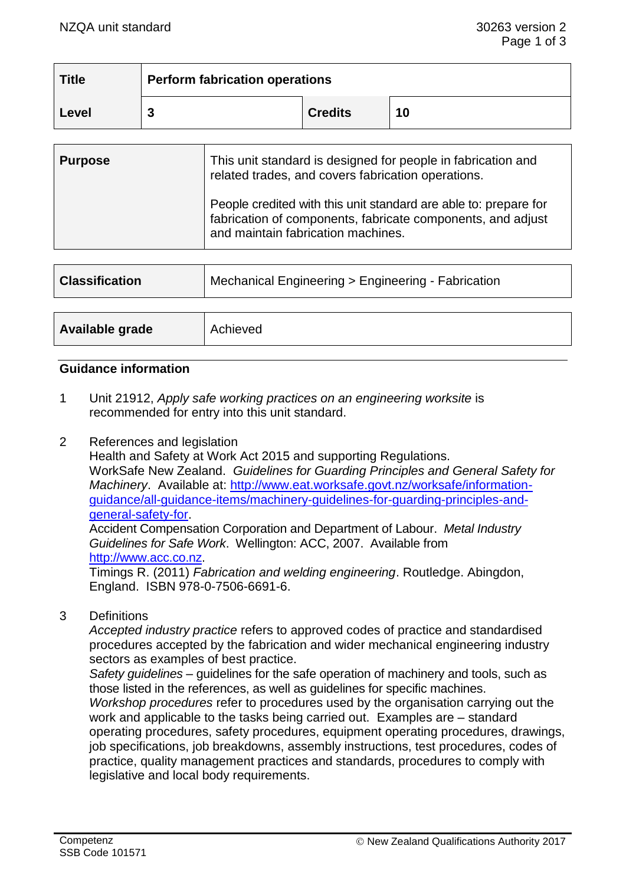| <b>Title</b> | <b>Perform fabrication operations</b> |                |    |
|--------------|---------------------------------------|----------------|----|
| Level        |                                       | <b>Credits</b> | 10 |

| <b>Purpose</b> | This unit standard is designed for people in fabrication and<br>related trades, and covers fabrication operations.                                                    |
|----------------|-----------------------------------------------------------------------------------------------------------------------------------------------------------------------|
|                | People credited with this unit standard are able to: prepare for<br>fabrication of components, fabricate components, and adjust<br>and maintain fabrication machines. |

| <b>Classification</b> | Mechanical Engineering > Engineering - Fabrication |  |
|-----------------------|----------------------------------------------------|--|
|                       |                                                    |  |
| Available grade       | Achieved                                           |  |

#### **Guidance information**

- 1 Unit 21912, *Apply safe working practices on an engineering worksite* is recommended for entry into this unit standard.
- 2 References and legislation

Health and Safety at Work Act 2015 and supporting Regulations. WorkSafe New Zealand. *Guidelines for Guarding Principles and General Safety for Machinery*. Available at: [http://www.eat.worksafe.govt.nz/worksafe/information](http://www.eat.worksafe.govt.nz/worksafe/information-guidance/all-guidance-items/machinery-guidelines-for-guarding-principles-and-general-safety-for)[guidance/all-guidance-items/machinery-guidelines-for-guarding-principles-and](http://www.eat.worksafe.govt.nz/worksafe/information-guidance/all-guidance-items/machinery-guidelines-for-guarding-principles-and-general-safety-for)[general-safety-for.](http://www.eat.worksafe.govt.nz/worksafe/information-guidance/all-guidance-items/machinery-guidelines-for-guarding-principles-and-general-safety-for)

Accident Compensation Corporation and Department of Labour. *Metal Industry Guidelines for Safe Work*. Wellington: ACC, 2007. Available from [http://www.acc.co.nz.](http://www.acc.co.nz/)

Timings R. (2011) *Fabrication and welding engineering*. Routledge. Abingdon, England. ISBN 978-0-7506-6691-6.

3 Definitions

*Accepted industry practice* refers to approved codes of practice and standardised procedures accepted by the fabrication and wider mechanical engineering industry sectors as examples of best practice.

*Safety guidelines* – guidelines for the safe operation of machinery and tools, such as those listed in the references, as well as guidelines for specific machines. *Workshop procedures* refer to procedures used by the organisation carrying out the work and applicable to the tasks being carried out. Examples are – standard operating procedures, safety procedures, equipment operating procedures, drawings, job specifications, job breakdowns, assembly instructions, test procedures, codes of practice, quality management practices and standards, procedures to comply with legislative and local body requirements.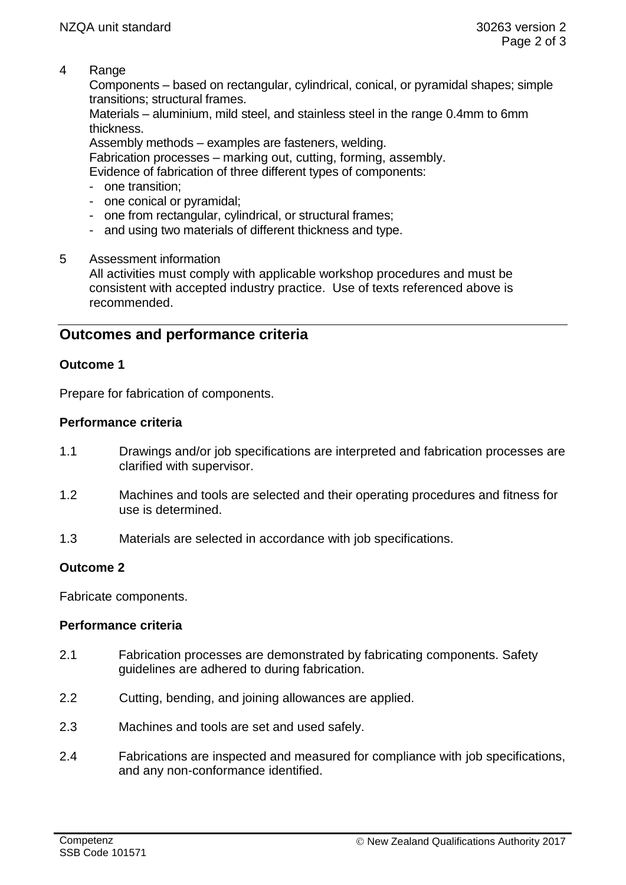4 Range

Components – based on rectangular, cylindrical, conical, or pyramidal shapes; simple transitions; structural frames.

Materials – aluminium, mild steel, and stainless steel in the range 0.4mm to 6mm thickness.

Assembly methods – examples are fasteners, welding.

Fabrication processes – marking out, cutting, forming, assembly.

Evidence of fabrication of three different types of components:

- one transition;
- one conical or pyramidal;
- one from rectangular, cylindrical, or structural frames;
- and using two materials of different thickness and type.

#### 5 Assessment information

All activities must comply with applicable workshop procedures and must be consistent with accepted industry practice. Use of texts referenced above is recommended.

# **Outcomes and performance criteria**

## **Outcome 1**

Prepare for fabrication of components.

## **Performance criteria**

- 1.1 Drawings and/or job specifications are interpreted and fabrication processes are clarified with supervisor.
- 1.2 Machines and tools are selected and their operating procedures and fitness for use is determined.
- 1.3 Materials are selected in accordance with job specifications.

## **Outcome 2**

Fabricate components.

## **Performance criteria**

- 2.1 Fabrication processes are demonstrated by fabricating components. Safety guidelines are adhered to during fabrication.
- 2.2 Cutting, bending, and joining allowances are applied.
- 2.3 Machines and tools are set and used safely.
- 2.4 Fabrications are inspected and measured for compliance with job specifications, and any non-conformance identified.